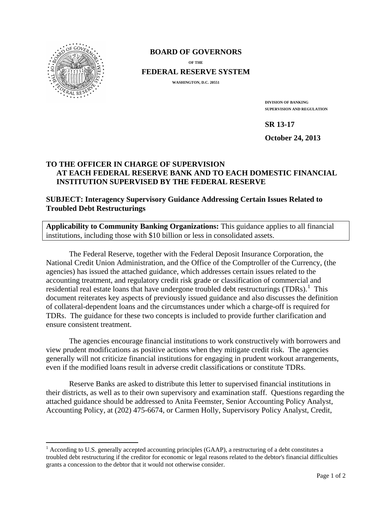

#### **BOARD OF GOVERNORS**

**OF THE**

**FEDERAL RESERVE SYSTEM**

**WASHINGTON, D.C. 20551**

**DIVISION OF BANKING SUPERVISION AND REGULATION**

**SR 13-17**

**October 24, 2013**

# **TO THE OFFICER IN CHARGE OF SUPERVISION AT EACH FEDERAL RESERVE BANK AND TO EACH DOMESTIC FINANCIAL INSTITUTION SUPERVISED BY THE FEDERAL RESERVE**

**SUBJECT: Interagency Supervisory Guidance Addressing Certain Issues Related to Troubled Debt Restructurings**

**Applicability to Community Banking Organizations:** This guidance applies to all financial institutions, including those with \$10 billion or less in consolidated assets.

The Federal Reserve, together with the Federal Deposit Insurance Corporation, the National Credit Union Administration, and the Office of the Comptroller of the Currency, (the agencies) has issued the attached guidance, which addresses certain issues related to the accounting treatment, and regulatory credit risk grade or classification of commercial and residential real estate loans that have undergone troubled debt restructurings (TDRs).<sup>[1](#page-0-0)</sup> This document reiterates key aspects of previously issued guidance and also discusses the definition of collateral-dependent loans and the circumstances under which a charge-off is required for TDRs. The guidance for these two concepts is included to provide further clarification and ensure consistent treatment.

The agencies encourage financial institutions to work constructively with borrowers and view prudent modifications as positive actions when they mitigate credit risk. The agencies generally will not criticize financial institutions for engaging in prudent workout arrangements, even if the modified loans result in adverse credit classifications or constitute TDRs.

Reserve Banks are asked to distribute this letter to supervised financial institutions in their districts, as well as to their own supervisory and examination staff. Questions regarding the attached guidance should be addressed to Anita Feemster, Senior Accounting Policy Analyst, Accounting Policy, at (202) 475-6674, or Carmen Holly, Supervisory Policy Analyst, Credit,

<span id="page-0-0"></span> $<sup>1</sup>$  According to U.S. generally accepted accounting principles (GAAP), a restructuring of a debt constitutes a</sup> troubled debt restructuring if the creditor for economic or legal reasons related to the debtor's financial difficulties grants a concession to the debtor that it would not otherwise consider.